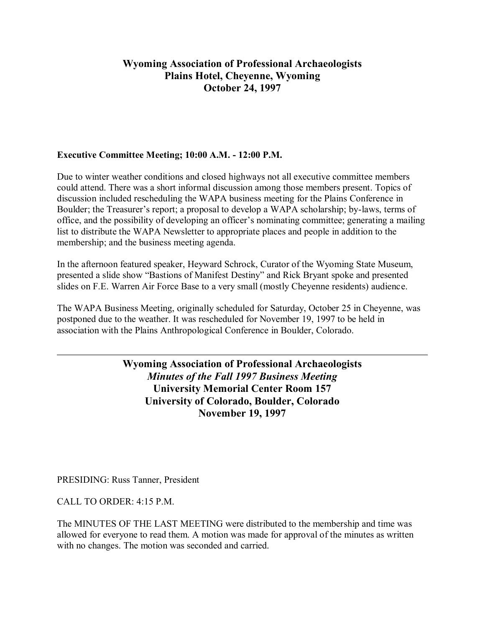# **Wyoming Association of Professional Archaeologists Plains Hotel, Cheyenne, Wyoming October 24, 1997**

### **Executive Committee Meeting; 10:00 A.M. - 12:00 P.M.**

Due to winter weather conditions and closed highways not all executive committee members could attend. There was a short informal discussion among those members present. Topics of discussion included rescheduling the WAPA business meeting for the Plains Conference in Boulder; the Treasurer's report; a proposal to develop a WAPA scholarship; by-laws, terms of office, and the possibility of developing an officer's nominating committee; generating a mailing list to distribute the WAPA Newsletter to appropriate places and people in addition to the membership; and the business meeting agenda.

In the afternoon featured speaker, Heyward Schrock, Curator of the Wyoming State Museum, presented a slide show "Bastions of Manifest Destiny" and Rick Bryant spoke and presented slides on F.E. Warren Air Force Base to a very small (mostly Cheyenne residents) audience.

The WAPA Business Meeting, originally scheduled for Saturday, October 25 in Cheyenne, was postponed due to the weather. It was rescheduled for November 19, 1997 to be held in association with the Plains Anthropological Conference in Boulder, Colorado.

> **Wyoming Association of Professional Archaeologists** *Minutes of the Fall 1997 Business Meeting* **University Memorial Center Room 157 University of Colorado, Boulder, Colorado November 19, 1997**

PRESIDING: Russ Tanner, President

CALL TO ORDER: 4:15 P.M.

The MINUTES OF THE LAST MEETING were distributed to the membership and time was allowed for everyone to read them. A motion was made for approval of the minutes as written with no changes. The motion was seconded and carried.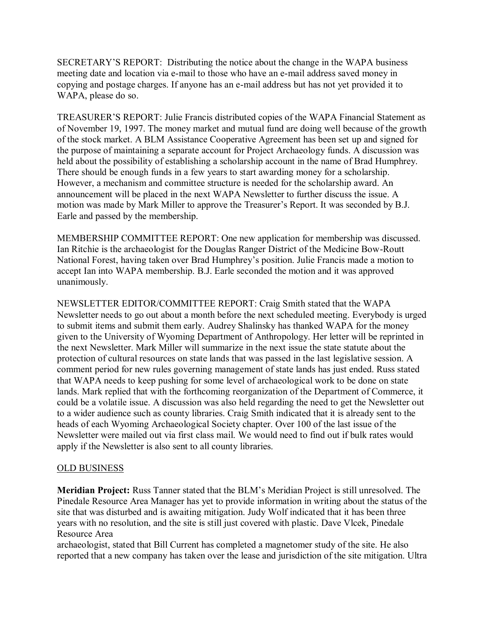SECRETARY'S REPORT: Distributing the notice about the change in the WAPA business meeting date and location via e-mail to those who have an e-mail address saved money in copying and postage charges. If anyone has an e-mail address but has not yet provided it to WAPA, please do so.

TREASURER'S REPORT: Julie Francis distributed copies of the WAPA Financial Statement as of November 19, 1997. The money market and mutual fund are doing well because of the growth of the stock market. A BLM Assistance Cooperative Agreement has been set up and signed for the purpose of maintaining a separate account for Project Archaeology funds. A discussion was held about the possibility of establishing a scholarship account in the name of Brad Humphrey. There should be enough funds in a few years to start awarding money for a scholarship. However, a mechanism and committee structure is needed for the scholarship award. An announcement will be placed in the next WAPA Newsletter to further discuss the issue. A motion was made by Mark Miller to approve the Treasurer's Report. It was seconded by B.J. Earle and passed by the membership.

MEMBERSHIP COMMITTEE REPORT: One new application for membership was discussed. Ian Ritchie is the archaeologist for the Douglas Ranger District of the Medicine Bow-Routt National Forest, having taken over Brad Humphrey's position. Julie Francis made a motion to accept Ian into WAPA membership. B.J. Earle seconded the motion and it was approved unanimously.

NEWSLETTER EDITOR/COMMITTEE REPORT: Craig Smith stated that the WAPA Newsletter needs to go out about a month before the next scheduled meeting. Everybody is urged to submit items and submit them early. Audrey Shalinsky has thanked WAPA for the money given to the University of Wyoming Department of Anthropology. Her letter will be reprinted in the next Newsletter. Mark Miller will summarize in the next issue the state statute about the protection of cultural resources on state lands that was passed in the last legislative session. A comment period for new rules governing management of state lands has just ended. Russ stated that WAPA needs to keep pushing for some level of archaeological work to be done on state lands. Mark replied that with the forthcoming reorganization of the Department of Commerce, it could be a volatile issue. A discussion was also held regarding the need to get the Newsletter out to a wider audience such as county libraries. Craig Smith indicated that it is already sent to the heads of each Wyoming Archaeological Society chapter. Over 100 of the last issue of the Newsletter were mailed out via first class mail. We would need to find out if bulk rates would apply if the Newsletter is also sent to all county libraries.

## OLD BUSINESS

**Meridian Project:** Russ Tanner stated that the BLM's Meridian Project is still unresolved. The Pinedale Resource Area Manager has yet to provide information in writing about the status of the site that was disturbed and is awaiting mitigation. Judy Wolf indicated that it has been three years with no resolution, and the site is still just covered with plastic. Dave Vlcek, Pinedale Resource Area

archaeologist, stated that Bill Current has completed a magnetomer study of the site. He also reported that a new company has taken over the lease and jurisdiction of the site mitigation. Ultra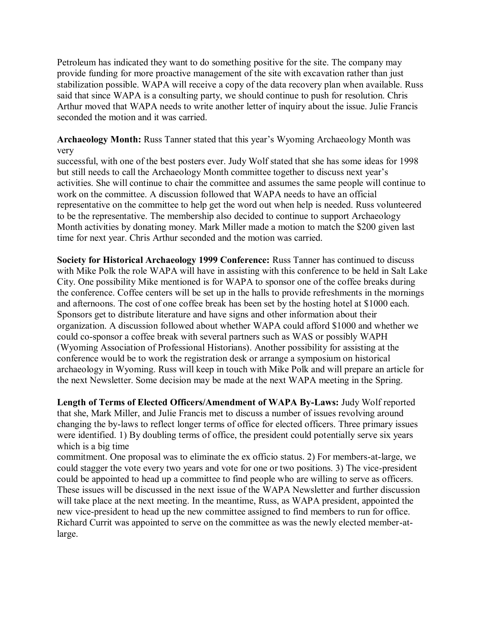Petroleum has indicated they want to do something positive for the site. The company may provide funding for more proactive management of the site with excavation rather than just stabilization possible. WAPA will receive a copy of the data recovery plan when available. Russ said that since WAPA is a consulting party, we should continue to push for resolution. Chris Arthur moved that WAPA needs to write another letter of inquiry about the issue. Julie Francis seconded the motion and it was carried.

**Archaeology Month:** Russ Tanner stated that this year's Wyoming Archaeology Month was very

successful, with one of the best posters ever. Judy Wolf stated that she has some ideas for 1998 but still needs to call the Archaeology Month committee together to discuss next year's activities. She will continue to chair the committee and assumes the same people will continue to work on the committee. A discussion followed that WAPA needs to have an official representative on the committee to help get the word out when help is needed. Russ volunteered to be the representative. The membership also decided to continue to support Archaeology Month activities by donating money. Mark Miller made a motion to match the \$200 given last time for next year. Chris Arthur seconded and the motion was carried.

**Society for Historical Archaeology 1999 Conference:** Russ Tanner has continued to discuss with Mike Polk the role WAPA will have in assisting with this conference to be held in Salt Lake City. One possibility Mike mentioned is for WAPA to sponsor one of the coffee breaks during the conference. Coffee centers will be set up in the halls to provide refreshments in the mornings and afternoons. The cost of one coffee break has been set by the hosting hotel at \$1000 each. Sponsors get to distribute literature and have signs and other information about their organization. A discussion followed about whether WAPA could afford \$1000 and whether we could co-sponsor a coffee break with several partners such as WAS or possibly WAPH (Wyoming Association of Professional Historians). Another possibility for assisting at the conference would be to work the registration desk or arrange a symposium on historical archaeology in Wyoming. Russ will keep in touch with Mike Polk and will prepare an article for the next Newsletter. Some decision may be made at the next WAPA meeting in the Spring.

**Length of Terms of Elected Officers/Amendment of WAPA By-Laws:** Judy Wolf reported that she, Mark Miller, and Julie Francis met to discuss a number of issues revolving around changing the by-laws to reflect longer terms of office for elected officers. Three primary issues were identified. 1) By doubling terms of office, the president could potentially serve six years which is a big time

commitment. One proposal was to eliminate the ex officio status. 2) For members-at-large, we could stagger the vote every two years and vote for one or two positions. 3) The vice-president could be appointed to head up a committee to find people who are willing to serve as officers. These issues will be discussed in the next issue of the WAPA Newsletter and further discussion will take place at the next meeting. In the meantime, Russ, as WAPA president, appointed the new vice-president to head up the new committee assigned to find members to run for office. Richard Currit was appointed to serve on the committee as was the newly elected member-atlarge.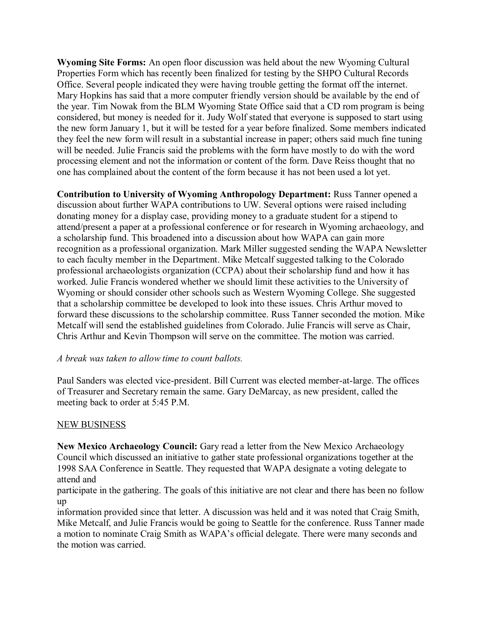**Wyoming Site Forms:** An open floor discussion was held about the new Wyoming Cultural Properties Form which has recently been finalized for testing by the SHPO Cultural Records Office. Several people indicated they were having trouble getting the format off the internet. Mary Hopkins has said that a more computer friendly version should be available by the end of the year. Tim Nowak from the BLM Wyoming State Office said that a CD rom program is being considered, but money is needed for it. Judy Wolf stated that everyone is supposed to start using the new form January 1, but it will be tested for a year before finalized. Some members indicated they feel the new form will result in a substantial increase in paper; others said much fine tuning will be needed. Julie Francis said the problems with the form have mostly to do with the word processing element and not the information or content of the form. Dave Reiss thought that no one has complained about the content of the form because it has not been used a lot yet.

**Contribution to University of Wyoming Anthropology Department:** Russ Tanner opened a discussion about further WAPA contributions to UW. Several options were raised including donating money for a display case, providing money to a graduate student for a stipend to attend/present a paper at a professional conference or for research in Wyoming archaeology, and a scholarship fund. This broadened into a discussion about how WAPA can gain more recognition as a professional organization. Mark Miller suggested sending the WAPA Newsletter to each faculty member in the Department. Mike Metcalf suggested talking to the Colorado professional archaeologists organization (CCPA) about their scholarship fund and how it has worked. Julie Francis wondered whether we should limit these activities to the University of Wyoming or should consider other schools such as Western Wyoming College. She suggested that a scholarship committee be developed to look into these issues. Chris Arthur moved to forward these discussions to the scholarship committee. Russ Tanner seconded the motion. Mike Metcalf will send the established guidelines from Colorado. Julie Francis will serve as Chair, Chris Arthur and Kevin Thompson will serve on the committee. The motion was carried.

#### *A break was taken to allow time to count ballots.*

Paul Sanders was elected vice-president. Bill Current was elected member-at-large. The offices of Treasurer and Secretary remain the same. Gary DeMarcay, as new president, called the meeting back to order at 5:45 P.M.

## NEW BUSINESS

**New Mexico Archaeology Council:** Gary read a letter from the New Mexico Archaeology Council which discussed an initiative to gather state professional organizations together at the 1998 SAA Conference in Seattle. They requested that WAPA designate a voting delegate to attend and

participate in the gathering. The goals of this initiative are not clear and there has been no follow up

information provided since that letter. A discussion was held and it was noted that Craig Smith, Mike Metcalf, and Julie Francis would be going to Seattle for the conference. Russ Tanner made a motion to nominate Craig Smith as WAPA's official delegate. There were many seconds and the motion was carried.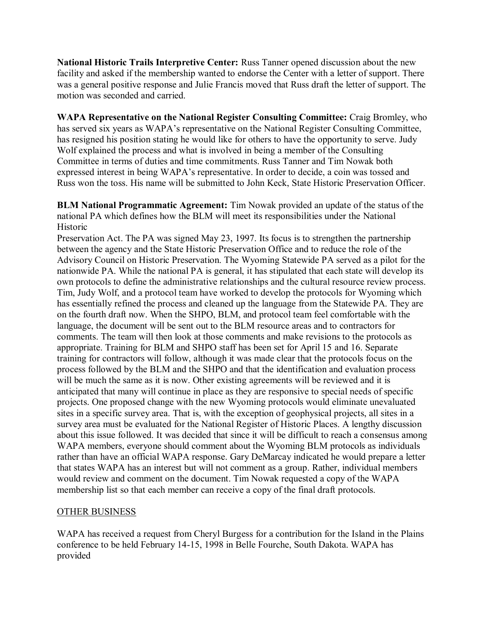**National Historic Trails Interpretive Center:** Russ Tanner opened discussion about the new facility and asked if the membership wanted to endorse the Center with a letter of support. There was a general positive response and Julie Francis moved that Russ draft the letter of support. The motion was seconded and carried.

**WAPA Representative on the National Register Consulting Committee:** Craig Bromley, who has served six years as WAPA's representative on the National Register Consulting Committee, has resigned his position stating he would like for others to have the opportunity to serve. Judy Wolf explained the process and what is involved in being a member of the Consulting Committee in terms of duties and time commitments. Russ Tanner and Tim Nowak both expressed interest in being WAPA's representative. In order to decide, a coin was tossed and Russ won the toss. His name will be submitted to John Keck, State Historic Preservation Officer.

**BLM National Programmatic Agreement:** Tim Nowak provided an update of the status of the national PA which defines how the BLM will meet its responsibilities under the National Historic

Preservation Act. The PA was signed May 23, 1997. Its focus is to strengthen the partnership between the agency and the State Historic Preservation Office and to reduce the role of the Advisory Council on Historic Preservation. The Wyoming Statewide PA served as a pilot for the nationwide PA. While the national PA is general, it has stipulated that each state will develop its own protocols to define the administrative relationships and the cultural resource review process. Tim, Judy Wolf, and a protocol team have worked to develop the protocols for Wyoming which has essentially refined the process and cleaned up the language from the Statewide PA. They are on the fourth draft now. When the SHPO, BLM, and protocol team feel comfortable with the language, the document will be sent out to the BLM resource areas and to contractors for comments. The team will then look at those comments and make revisions to the protocols as appropriate. Training for BLM and SHPO staff has been set for April 15 and 16. Separate training for contractors will follow, although it was made clear that the protocols focus on the process followed by the BLM and the SHPO and that the identification and evaluation process will be much the same as it is now. Other existing agreements will be reviewed and it is anticipated that many will continue in place as they are responsive to special needs of specific projects. One proposed change with the new Wyoming protocols would eliminate unevaluated sites in a specific survey area. That is, with the exception of geophysical projects, all sites in a survey area must be evaluated for the National Register of Historic Places. A lengthy discussion about this issue followed. It was decided that since it will be difficult to reach a consensus among WAPA members, everyone should comment about the Wyoming BLM protocols as individuals rather than have an official WAPA response. Gary DeMarcay indicated he would prepare a letter that states WAPA has an interest but will not comment as a group. Rather, individual members would review and comment on the document. Tim Nowak requested a copy of the WAPA membership list so that each member can receive a copy of the final draft protocols.

## OTHER BUSINESS

WAPA has received a request from Cheryl Burgess for a contribution for the Island in the Plains conference to be held February 14-15, 1998 in Belle Fourche, South Dakota. WAPA has provided